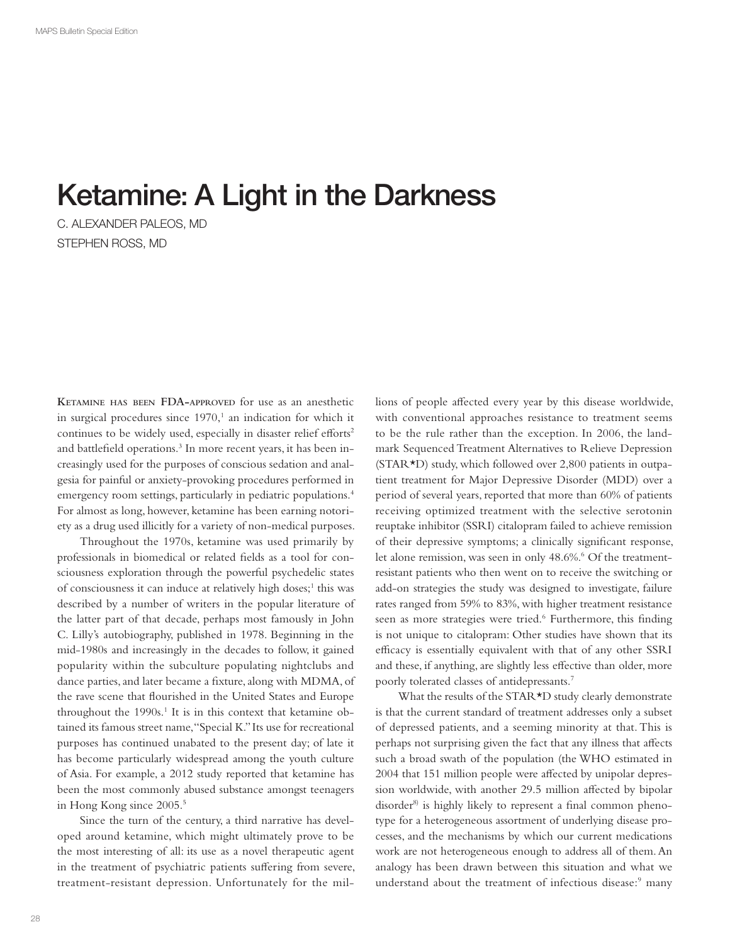# Ketamine: A Light in the Darkness

C. ALEXANDER PALEOS, MD STEPHEN ROSS, MD

**KETAMINE HAS BEEN FDA-APPROVED** for use as an anesthetic in surgical procedures since  $1970<sup>1</sup>$  an indication for which it continues to be widely used, especially in disaster relief efforts<sup>2</sup> and battlefield operations.<sup>3</sup> In more recent years, it has been increasingly used for the purposes of conscious sedation and analgesia for painful or anxiety-provoking procedures performed in emergency room settings, particularly in pediatric populations.4 For almost as long, however, ketamine has been earning notoriety as a drug used illicitly for a variety of non-medical purposes.

Throughout the 1970s, ketamine was used primarily by professionals in biomedical or related fields as a tool for consciousness exploration through the powerful psychedelic states of consciousness it can induce at relatively high doses;<sup>1</sup> this was described by a number of writers in the popular literature of the latter part of that decade, perhaps most famously in John C. Lilly's autobiography, published in 1978. Beginning in the mid-1980s and increasingly in the decades to follow, it gained popularity within the subculture populating nightclubs and dance parties, and later became a fixture, along with MDMA, of the rave scene that flourished in the United States and Europe throughout the 1990s.<sup>1</sup> It is in this context that ketamine obtained its famous street name, "Special K." Its use for recreational purposes has continued unabated to the present day; of late it has become particularly widespread among the youth culture of Asia. For example, a 2012 study reported that ketamine has been the most commonly abused substance amongst teenagers in Hong Kong since 2005.5

Since the turn of the century, a third narrative has developed around ketamine, which might ultimately prove to be the most interesting of all: its use as a novel therapeutic agent in the treatment of psychiatric patients suffering from severe, treatment-resistant depression. Unfortunately for the millions of people affected every year by this disease worldwide, with conventional approaches resistance to treatment seems to be the rule rather than the exception. In 2006, the landmark Sequenced Treatment Alternatives to Relieve Depression (STAR\*D) study, which followed over 2,800 patients in outpatient treatment for Major Depressive Disorder (MDD) over a period of several years, reported that more than 60% of patients receiving optimized treatment with the selective serotonin reuptake inhibitor (SSRI) citalopram failed to achieve remission of their depressive symptoms; a clinically significant response, let alone remission, was seen in only 48.6%.<sup>6</sup> Of the treatmentresistant patients who then went on to receive the switching or add-on strategies the study was designed to investigate, failure rates ranged from 59% to 83%, with higher treatment resistance seen as more strategies were tried.<sup>6</sup> Furthermore, this finding is not unique to citalopram: Other studies have shown that its efficacy is essentially equivalent with that of any other SSRI and these, if anything, are slightly less effective than older, more poorly tolerated classes of antidepressants.7

What the results of the STAR<sup>\*</sup>D study clearly demonstrate is that the current standard of treatment addresses only a subset of depressed patients, and a seeming minority at that. This is perhaps not surprising given the fact that any illness that affects such a broad swath of the population (the WHO estimated in 2004 that 151 million people were affected by unipolar depression worldwide, with another 29.5 million affected by bipolar disorder<sup>8)</sup> is highly likely to represent a final common phenotype for a heterogeneous assortment of underlying disease processes, and the mechanisms by which our current medications work are not heterogeneous enough to address all of them. An analogy has been drawn between this situation and what we understand about the treatment of infectious disease:<sup>9</sup> many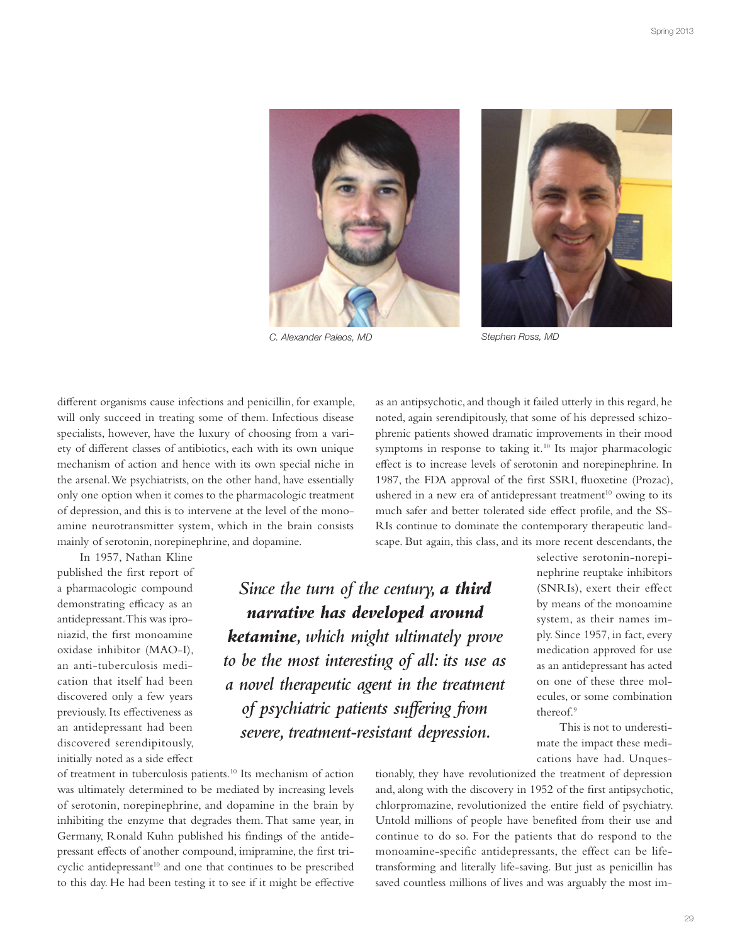

C. Alexander Paleos, MD Stephen Ross, MD



different organisms cause infections and penicillin, for example, will only succeed in treating some of them. Infectious disease specialists, however, have the luxury of choosing from a variety of different classes of antibiotics, each with its own unique mechanism of action and hence with its own special niche in the arsenal. We psychiatrists, on the other hand, have essentially only one option when it comes to the pharmacologic treatment of depression, and this is to intervene at the level of the monoamine neurotransmitter system, which in the brain consists mainly of serotonin, norepinephrine, and dopamine.

In 1957, Nathan Kline published the first report of a pharmacologic compound demonstrating efficacy as an antidepressant. This was iproniazid, the first monoamine oxidase inhibitor (MAO-I), an anti-tuberculosis medication that itself had been discovered only a few years previously. Its effectiveness as an antidepressant had been discovered serendipitously, initially noted as a side effect

*narrative has developed around ketamine, which might ultimately prove to be the most interesting of all: its use as a novel therapeutic agent in the treatment of psychiatric patients su!ering from severe, treatment-resistant depression.*

of treatment in tuberculosis patients.10 Its mechanism of action was ultimately determined to be mediated by increasing levels of serotonin, norepinephrine, and dopamine in the brain by inhibiting the enzyme that degrades them. That same year, in Germany, Ronald Kuhn published his findings of the antidepressant effects of another compound, imipramine, the first tricyclic antidepressant $10$  and one that continues to be prescribed to this day. He had been testing it to see if it might be effective as an antipsychotic, and though it failed utterly in this regard, he noted, again serendipitously, that some of his depressed schizophrenic patients showed dramatic improvements in their mood symptoms in response to taking it.<sup>10</sup> Its major pharmacologic effect is to increase levels of serotonin and norepinephrine. In 1987, the FDA approval of the first SSRI, fluoxetine (Prozac), ushered in a new era of antidepressant treatment<sup>10</sup> owing to its much safer and better tolerated side effect profile, and the SS-RIs continue to dominate the contemporary therapeutic landscape. But again, this class, and its more recent descendants, the

*Since the turn of the century, a third* 

selective serotonin-norepinephrine reuptake inhibitors (SNRIs), exert their effect by means of the monoamine system, as their names imply. Since 1957, in fact, every medication approved for use as an antidepressant has acted on one of these three molecules, or some combination thereof.9

This is not to underestimate the impact these medications have had. Unques-

tionably, they have revolutionized the treatment of depression and, along with the discovery in 1952 of the first antipsychotic, chlorpromazine, revolutionized the entire field of psychiatry. Untold millions of people have benefited from their use and continue to do so. For the patients that do respond to the monoamine-specific antidepressants, the effect can be lifetransforming and literally life-saving. But just as penicillin has saved countless millions of lives and was arguably the most im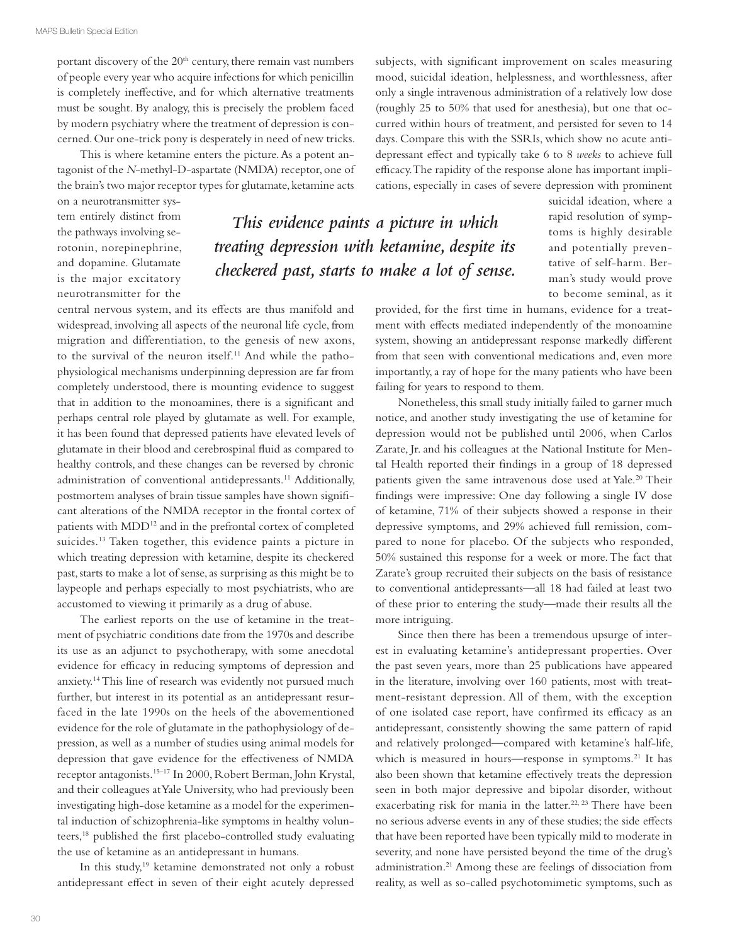portant discovery of the  $20<sup>th</sup>$  century, there remain vast numbers of people every year who acquire infections for which penicillin is completely ineffective, and for which alternative treatments must be sought. By analogy, this is precisely the problem faced by modern psychiatry where the treatment of depression is concerned. Our one-trick pony is desperately in need of new tricks.

This is where ketamine enters the picture. As a potent antagonist of the *N*-methyl-D-aspartate (NMDA) receptor, one of the brain's two major receptor types for glutamate, ketamine acts

on a neurotransmitter system entirely distinct from the pathways involving serotonin, norepinephrine, and dopamine. Glutamate is the major excitatory neurotransmitter for the

central nervous system, and its effects are thus manifold and widespread, involving all aspects of the neuronal life cycle, from migration and differentiation, to the genesis of new axons, to the survival of the neuron itself.<sup>11</sup> And while the pathophysiological mechanisms underpinning depression are far from completely understood, there is mounting evidence to suggest that in addition to the monoamines, there is a significant and perhaps central role played by glutamate as well. For example, it has been found that depressed patients have elevated levels of glutamate in their blood and cerebrospinal fluid as compared to healthy controls, and these changes can be reversed by chronic administration of conventional antidepressants.11 Additionally, postmortem analyses of brain tissue samples have shown significant alterations of the NMDA receptor in the frontal cortex of patients with MDD<sup>12</sup> and in the prefrontal cortex of completed suicides.<sup>13</sup> Taken together, this evidence paints a picture in which treating depression with ketamine, despite its checkered past, starts to make a lot of sense, as surprising as this might be to laypeople and perhaps especially to most psychiatrists, who are accustomed to viewing it primarily as a drug of abuse.

The earliest reports on the use of ketamine in the treatment of psychiatric conditions date from the 1970s and describe its use as an adjunct to psychotherapy, with some anecdotal evidence for efficacy in reducing symptoms of depression and anxiety.14 This line of research was evidently not pursued much further, but interest in its potential as an antidepressant resurfaced in the late 1990s on the heels of the abovementioned evidence for the role of glutamate in the pathophysiology of depression, as well as a number of studies using animal models for depression that gave evidence for the effectiveness of NMDA receptor antagonists.15–17 In 2000, Robert Berman, John Krystal, and their colleagues at Yale University, who had previously been investigating high-dose ketamine as a model for the experimental induction of schizophrenia-like symptoms in healthy volunteers,<sup>18</sup> published the first placebo-controlled study evaluating the use of ketamine as an antidepressant in humans.

In this study,<sup>19</sup> ketamine demonstrated not only a robust antidepressant effect in seven of their eight acutely depressed subjects, with significant improvement on scales measuring mood, suicidal ideation, helplessness, and worthlessness, after only a single intravenous administration of a relatively low dose (roughly 25 to 50% that used for anesthesia), but one that occurred within hours of treatment, and persisted for seven to 14 days. Compare this with the SSRIs, which show no acute antidepressant effect and typically take 6 to 8 *weeks* to achieve full efficacy. The rapidity of the response alone has important implications, especially in cases of severe depression with prominent

*This evidence paints a picture in which treating depression with ketamine, despite its checkered past, starts to make a lot of sense.*

suicidal ideation, where a rapid resolution of symptoms is highly desirable and potentially preventative of self-harm. Berman's study would prove to become seminal, as it

provided, for the first time in humans, evidence for a treatment with effects mediated independently of the monoamine system, showing an antidepressant response markedly different from that seen with conventional medications and, even more importantly, a ray of hope for the many patients who have been failing for years to respond to them.

Nonetheless, this small study initially failed to garner much notice, and another study investigating the use of ketamine for depression would not be published until 2006, when Carlos Zarate, Jr. and his colleagues at the National Institute for Mental Health reported their findings in a group of 18 depressed patients given the same intravenous dose used at Yale.<sup>20</sup> Their findings were impressive: One day following a single IV dose of ketamine, 71% of their subjects showed a response in their depressive symptoms, and 29% achieved full remission, compared to none for placebo. Of the subjects who responded, 50% sustained this response for a week or more. The fact that Zarate's group recruited their subjects on the basis of resistance to conventional antidepressants—all 18 had failed at least two of these prior to entering the study—made their results all the more intriguing.

Since then there has been a tremendous upsurge of interest in evaluating ketamine's antidepressant properties. Over the past seven years, more than 25 publications have appeared in the literature, involving over 160 patients, most with treatment-resistant depression. All of them, with the exception of one isolated case report, have confirmed its efficacy as an antidepressant, consistently showing the same pattern of rapid and relatively prolonged—compared with ketamine's half-life, which is measured in hours—response in symptoms.<sup>21</sup> It has also been shown that ketamine effectively treats the depression seen in both major depressive and bipolar disorder, without exacerbating risk for mania in the latter.<sup>22, 23</sup> There have been no serious adverse events in any of these studies; the side effects that have been reported have been typically mild to moderate in severity, and none have persisted beyond the time of the drug's administration.21 Among these are feelings of dissociation from reality, as well as so-called psychotomimetic symptoms, such as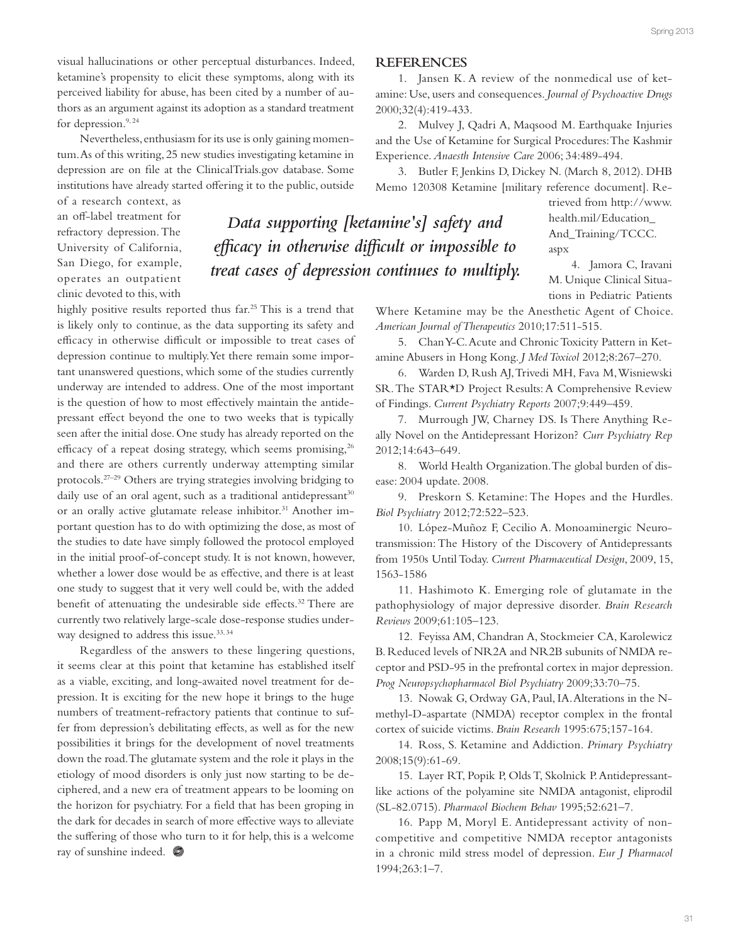visual hallucinations or other perceptual disturbances. Indeed, ketamine's propensity to elicit these symptoms, along with its perceived liability for abuse, has been cited by a number of authors as an argument against its adoption as a standard treatment for depression.<sup>9, 24</sup>

Nevertheless, enthusiasm for its use is only gaining momentum. As of this writing, 25 new studies investigating ketamine in depression are on file at the ClinicalTrials.gov database. Some institutions have already started offering it to the public, outside

of a research context, as an off-label treatment for refractory depression. The University of California, San Diego, for example, operates an outpatient clinic devoted to this, with

highly positive results reported thus far.25 This is a trend that is likely only to continue, as the data supporting its safety and efficacy in otherwise difficult or impossible to treat cases of depression continue to multiply. Yet there remain some important unanswered questions, which some of the studies currently underway are intended to address. One of the most important is the question of how to most effectively maintain the antidepressant effect beyond the one to two weeks that is typically seen after the initial dose. One study has already reported on the efficacy of a repeat dosing strategy, which seems promising,  $26$ and there are others currently underway attempting similar protocols.27–29 Others are trying strategies involving bridging to daily use of an oral agent, such as a traditional antidepressant<sup>30</sup> or an orally active glutamate release inhibitor.<sup>31</sup> Another important question has to do with optimizing the dose, as most of the studies to date have simply followed the protocol employed in the initial proof-of-concept study. It is not known, however, whether a lower dose would be as effective, and there is at least one study to suggest that it very well could be, with the added benefit of attenuating the undesirable side effects.<sup>32</sup> There are currently two relatively large-scale dose-response studies underway designed to address this issue.<sup>33, 34</sup>

Regardless of the answers to these lingering questions, it seems clear at this point that ketamine has established itself as a viable, exciting, and long-awaited novel treatment for depression. It is exciting for the new hope it brings to the huge numbers of treatment-refractory patients that continue to suffer from depression's debilitating effects, as well as for the new possibilities it brings for the development of novel treatments down the road. The glutamate system and the role it plays in the etiology of mood disorders is only just now starting to be deciphered, and a new era of treatment appears to be looming on the horizon for psychiatry. For a field that has been groping in the dark for decades in search of more effective ways to alleviate the suffering of those who turn to it for help, this is a welcome ray of sunshine indeed.

### **REFERENCES**

1. Jansen K. A review of the nonmedical use of ketamine: Use, users and consequences. *Journal of Psychoactive Drugs* 2000;32(4):419-433.

2. Mulvey J, Qadri A, Maqsood M. Earthquake Injuries and the Use of Ketamine for Surgical Procedures: The Kashmir Experience. *Anaesth Intensive Care* 2006; 34:489-494.

3. Butler F, Jenkins D, Dickey N. (March 8, 2012). DHB Memo 120308 Ketamine [military reference document]. Re-

*Data supporting [ketamine's] safety and*  efficacy in otherwise difficult or impossible to *treat cases of depression continues to multiply.*

trieved from http://www. health.mil/Education\_ And\_Training/TCCC. aspx

4. Jamora C, Iravani M. Unique Clinical Situations in Pediatric Patients

Where Ketamine may be the Anesthetic Agent of Choice. *American Journal of Therapeutics* 2010;17:511-515.

5. Chan Y-C. Acute and Chronic Toxicity Pattern in Ketamine Abusers in Hong Kong. *J Med Toxicol* 2012;8:267–270.

6. Warden D, Rush AJ, Trivedi MH, Fava M, Wisniewski SR. The STAR\*D Project Results: A Comprehensive Review of Findings. *Current Psychiatry Reports* 2007;9:449–459.

7. Murrough JW, Charney DS. Is There Anything Really Novel on the Antidepressant Horizon? *Curr Psychiatry Rep* 2012;14:643–649.

8. World Health Organization. The global burden of disease: 2004 update. 2008.

9. Preskorn S. Ketamine: The Hopes and the Hurdles. *Biol Psychiatry* 2012;72:522–523.

10. López-Muñoz F, Cecilio A. Monoaminergic Neurotransmission: The History of the Discovery of Antidepressants from 1950s Until Today. *Current Pharmaceutical Design*, 2009, 15, 1563-1586

11. Hashimoto K. Emerging role of glutamate in the pathophysiology of major depressive disorder. *Brain Research Reviews* 2009;61:105–123.

12. Feyissa AM, Chandran A, Stockmeier CA, Karolewicz B. Reduced levels of NR2A and NR2B subunits of NMDA receptor and PSD-95 in the prefrontal cortex in major depression. *Prog Neuropsychopharmacol Biol Psychiatry* 2009;33:70–75.

13. Nowak G, Ordway GA, Paul, IA. Alterations in the Nmethyl-D-aspartate (NMDA) receptor complex in the frontal cortex of suicide victims. *Brain Research* 1995:675;157-164.

14. Ross, S. Ketamine and Addiction. *Primary Psychiatry* 2008;15(9):61-69.

15. Layer RT, Popik P, Olds T, Skolnick P. Antidepressantlike actions of the polyamine site NMDA antagonist, eliprodil (SL-82.0715). *Pharmacol Biochem Behav* 1995;52:621–7.

16. Papp M, Moryl E. Antidepressant activity of noncompetitive and competitive NMDA receptor antagonists in a chronic mild stress model of depression. *Eur J Pharmacol*  1994;263:1–7.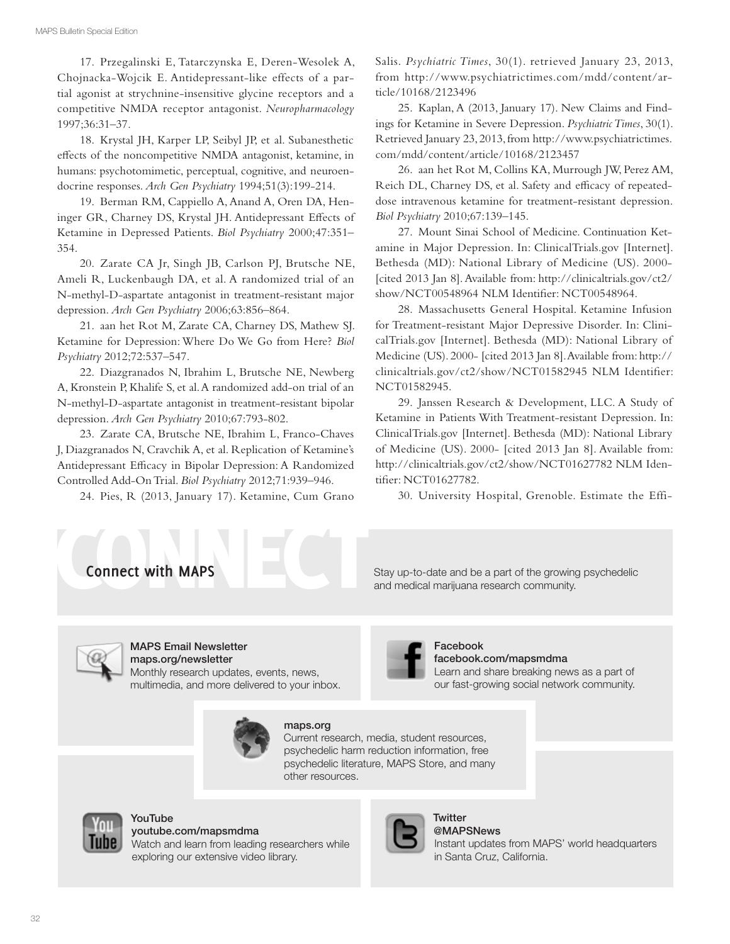17. Przegalinski E, Tatarczynska E, Deren-Wesolek A, Chojnacka-Wojcik E. Antidepressant-like effects of a partial agonist at strychnine-insensitive glycine receptors and a competitive NMDA receptor antagonist. *Neuropharmacology* 1997;36:31–37.

18. Krystal JH, Karper LP, Seibyl JP, et al. Subanesthetic effects of the noncompetitive NMDA antagonist, ketamine, in humans: psychotomimetic, perceptual, cognitive, and neuroendocrine responses. *Arch Gen Psychiatry* 1994;51(3):199-214.

19. Berman RM, Cappiello A, Anand A, Oren DA, Heninger GR, Charney DS, Krystal JH. Antidepressant Effects of Ketamine in Depressed Patients. *Biol Psychiatry* 2000;47:351– 354.

20. Zarate CA Jr, Singh JB, Carlson PJ, Brutsche NE, Ameli R, Luckenbaugh DA, et al. A randomized trial of an N-methyl-D-aspartate antagonist in treatment-resistant major depression. *Arch Gen Psychiatry* 2006;63:856–864.

21. aan het Rot M, Zarate CA, Charney DS, Mathew SJ. Ketamine for Depression: Where Do We Go from Here? *Biol Psychiatry* 2012;72:537–547.

22. Diazgranados N, Ibrahim L, Brutsche NE, Newberg A, Kronstein P, Khalife S, et al. A randomized add-on trial of an N-methyl-D-aspartate antagonist in treatment-resistant bipolar depression. *Arch Gen Psychiatry* 2010;67:793-802.

23. Zarate CA, Brutsche NE, Ibrahim L, Franco-Chaves J, Diazgranados N, Cravchik A, et al. Replication of Ketamine's Antidepressant Efficacy in Bipolar Depression: A Randomized Controlled Add-On Trial. *Biol Psychiatry* 2012;71:939–946.

24. Pies, R (2013, January 17). Ketamine, Cum Grano

Salis. *Psychiatric Times*, 30(1). retrieved January 23, 2013, from http://www.psychiatrictimes.com/mdd/content/article/10168/2123496

25. Kaplan, A (2013, January 17). New Claims and Findings for Ketamine in Severe Depression. *Psychiatric Times*, 30(1). Retrieved January 23, 2013, from http://www.psychiatrictimes. com/mdd/content/article/10168/2123457

26. aan het Rot M, Collins KA, Murrough JW, Perez AM, Reich DL, Charney DS, et al. Safety and efficacy of repeateddose intravenous ketamine for treatment-resistant depression. *Biol Psychiatry* 2010;67:139–145.

27. Mount Sinai School of Medicine. Continuation Ketamine in Major Depression. In: ClinicalTrials.gov [Internet]. Bethesda (MD): National Library of Medicine (US). 2000- [cited 2013 Jan 8]. Available from: http://clinicaltrials.gov/ct2/ show/NCT00548964 NLM Identifier: NCT00548964.

28. Massachusetts General Hospital. Ketamine Infusion for Treatment-resistant Major Depressive Disorder. In: ClinicalTrials.gov [Internet]. Bethesda (MD): National Library of Medicine (US). 2000- [cited 2013 Jan 8]. Available from: http:// clinicaltrials.gov/ct2/show/NCT01582945 NLM Identifier: NCT01582945.

29. Janssen Research & Development, LLC. A Study of Ketamine in Patients With Treatment-resistant Depression. In: ClinicalTrials.gov [Internet]. Bethesda (MD): National Library of Medicine (US). 2000- [cited 2013 Jan 8]. Available from: http://clinicaltrials.gov/ct2/show/NCT01627782 NLM Identifier: NCT01627782.

30. University Hospital, Grenoble. Estimate the Effi-

Learn and share breaking news as a part of our fast-growing social network community.



and medical marijuana research community.

facebook.com/mapsmdma

Facebook



## MAPS Email Newsletter

maps.org/newsletter Monthly research updates, events, news, multimedia, and more delivered to your inbox.



## maps.org

Current research, media, student resources, psychedelic harm reduction information, free psychedelic literature, MAPS Store, and many other resources.



#### YouTube youtube.com/mapsmdma

Watch and learn from leading researchers while exploring our extensive video library.



Instant updates from MAPS' world headquarters **Twitter** @MAPSNews in Santa Cruz, California.